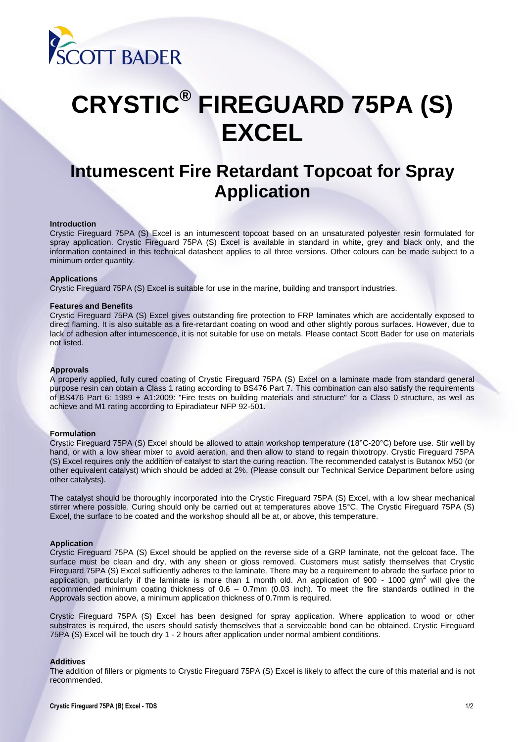

# **CRYSTIC® FIREGUARD 75PA (S) EXCEL**

# **Intumescent Fire Retardant Topcoat for Spray Application**

#### **Introduction**

Crystic Fireguard 75PA (S) Excel is an intumescent topcoat based on an unsaturated polyester resin formulated for spray application. Crystic Fireguard 75PA (S) Excel is available in standard in white, grey and black only, and the information contained in this technical datasheet applies to all three versions. Other colours can be made subject to a minimum order quantity.

#### **Applications**

Crystic Fireguard 75PA (S) Excel is suitable for use in the marine, building and transport industries.

# **Features and Benefits**

Crystic Fireguard 75PA (S) Excel gives outstanding fire protection to FRP laminates which are accidentally exposed to direct flaming. It is also suitable as a fire-retardant coating on wood and other slightly porous surfaces. However, due to lack of adhesion after intumescence, it is not suitable for use on metals. Please contact Scott Bader for use on materials not listed.

# **Approvals**

A properly applied, fully cured coating of Crystic Fireguard 75PA (S) Excel on a laminate made from standard general purpose resin can obtain a Class 1 rating according to BS476 Part 7. This combination can also satisfy the requirements of BS476 Part 6: 1989 + A1:2009: "Fire tests on building materials and structure" for a Class 0 structure, as well as achieve and M1 rating according to Epiradiateur NFP 92-501.

#### **Formulation**

Crystic Fireguard 75PA (S) Excel should be allowed to attain workshop temperature (18°C-20°C) before use. Stir well by hand, or with a low shear mixer to avoid aeration, and then allow to stand to regain thixotropy. Crystic Fireguard 75PA (S) Excel requires only the addition of catalyst to start the curing reaction. The recommended catalyst is Butanox M50 (or other equivalent catalyst) which should be added at 2%. (Please consult our Technical Service Department before using other catalysts).

The catalyst should be thoroughly incorporated into the Crystic Fireguard 75PA (S) Excel, with a low shear mechanical stirrer where possible. Curing should only be carried out at temperatures above 15°C. The Crystic Fireguard 75PA (S) Excel, the surface to be coated and the workshop should all be at, or above, this temperature.

# **Application**

Crystic Fireguard 75PA (S) Excel should be applied on the reverse side of a GRP laminate, not the gelcoat face. The surface must be clean and dry, with any sheen or gloss removed. Customers must satisfy themselves that Crystic Fireguard 75PA (S) Excel sufficiently adheres to the laminate. There may be a requirement to abrade the surface prior to application, particularly if the laminate is more than 1 month old. An application of 900 - 1000 g/m<sup>2</sup> will give the recommended minimum coating thickness of 0.6 – 0.7mm (0.03 inch). To meet the fire standards outlined in the Approvals section above, a minimum application thickness of 0.7mm is required.

Crystic Fireguard 75PA (S) Excel has been designed for spray application. Where application to wood or other substrates is required, the users should satisfy themselves that a serviceable bond can be obtained. Crystic Fireguard 75PA (S) Excel will be touch dry 1 - 2 hours after application under normal ambient conditions.

## **Additives**

The addition of fillers or pigments to Crystic Fireguard 75PA (S) Excel is likely to affect the cure of this material and is not recommended.